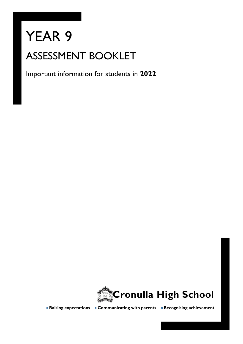# YEAR 9 ASSESSMENT BOOKLET

Important information for students in **2022**



**Raising expectations Communicating with parents Recognising achievement**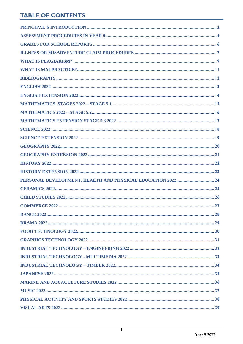# **TABLE OF CONTENTS**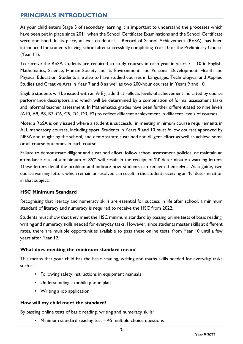## <span id="page-2-0"></span>**PRINCIPAL'S INTRODUCTION**

As your child enters Stage 5 of secondary learning it is important to understand the processes which have been put in place since 2011 when the School Certificate Examinations and the School Certificate were abolished. In its place, an exit credential, a Record of School Achievement (RoSA), has been introduced for students leaving school after successfully completing Year 10 or the Preliminary Course (Year 11).

To receive the RoSA students are required to study courses in each year in years 7 – 10 in English, Mathematics, Science, Human Society and its Environment, and Personal Development, Health and Physical Education. Students are also to have studied courses in Languages, Technological and Applied Studies and Creative Arts in Year 7 and 8 as well as two 200-hour courses in Years 9 and 10.

Eligible students will be issued with an A-E grade that reflects levels of achievement indicated by course performance descriptors and which will be determined by a combination of formal assessment tasks and informal teacher assessment. In Mathematics grades have been further differentiated to nine levels (A10, A9, B8, B7, C6, C5, D4, D3, E2) to reflect different achievement in different levels of courses.

Note: a RoSA is only issued where a student is successful in meeting minimum course requirements in ALL mandatory courses, including sport. Students in Years 9 and 10 must follow courses approved by NESA and taught by the school, and demonstrate sustained and diligent effort as well as achieve some or all course outcomes in each course.

Failure to demonstrate diligent and sustained effort, follow school assessment policies, or maintain an attendance rate of a minimum of 85% will result in the receipt of 'N' determination warning letters. These letters detail the problem and indicate how students can redeem themselves. As a guide, two course warning letters which remain unresolved can result in the student receiving an 'N' determination in that subject.

#### **HSC Minimum Standard**

Recognising that literacy and numeracy skills are essential for success in life after school, a minimum standard of literacy and numeracy is required to receive the HSC from 2022.

Students must show that they meet the HSC minimum standard by passing online tests of basic reading, writing and numeracy skills needed for everyday tasks. However, since students master skills at different rates, there are multiple opportunities available to pass these online tests, from Year 10 until a few years after Year 12.

#### **What does meeting the minimum standard mean?**

This means that your child has the basic reading, writing and maths skills needed for everyday tasks such as:

- Following safety instructions in equipment manuals
- Understanding a mobile phone plan
- Writing a job application

#### **How will my child meet the standard?**

By passing online tests of basic reading, writing and numeracy skills:

• Minimum standard reading test – 45 multiple choice questions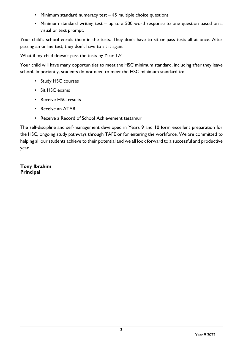- Minimum standard numeracy test 45 multiple choice questions
- Minimum standard writing test up to a 500 word response to one question based on a visual or text prompt.

Your child's school enrols them in the tests. They don't have to sit or pass tests all at once. After passing an online test, they don't have to sit it again.

What if my child doesn't pass the tests by Year 12?

Your child will have many opportunities to meet the HSC minimum standard, including after they leave school. Importantly, students do not need to meet the HSC minimum standard to:

- Study HSC courses
- Sit HSC exams
- Receive HSC results
- Receive an ATAR
- Receive a Record of School Achievement testamur

The self-discipline and self-management developed in Years 9 and 10 form excellent preparation for the HSC, ongoing study pathways through TAFE or for entering the workforce. We are committed to helping all our students achieve to their potential and we all look forward to a successful and productive year.

**Tony Ibrahim Principal**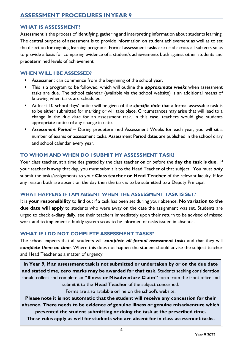#### <span id="page-4-0"></span>**WHAT IS ASSESSMENT?**

Assessment is the process of identifying, gathering and interpreting information about students learning. The central purpose of assessment is to provide information on student achievement as well as to set the direction for ongoing learning programs. Formal assessment tasks are used across all subjects so as to provide a basis for comparing evidence of a student's achievements both against other students and predetermined levels of achievement.

#### **WHEN WILL I BE ASSESSED?**

- **EXEC** Assessment can commence from the beginning of the school year.
- **E** This is a program to be followed, which will outline the **approximate weeks** when assessment tasks are due. The school calendar (available via the school website) is an additional means of knowing when tasks are scheduled.
- At least 10 school days' notice will be given of the **specific date** that a formal assessable task is to be either submitted for marking or will take place. Circumstances may arise that will lead to a change in the due date for an assessment task. In this case, teachers would give students appropriate notice of any change in date.
- **E Assessment Period** During predetermined Assessment Weeks for each year, you will sit a number of exams or assessment tasks. Assessment Period dates are published in the school diary and school calendar every year.

#### **TO WHOM AND WHEN DO I SUBMIT MY ASSESSMENT TASK?**

Your class teacher, at a time designated by the class teacher on or before the **day the task is due.** If your teacher is away that day, you must submit it to the Head Teacher of that subject. You must *only* submit the tasks/assignments to your **Class teacher or Head Teacher** of the relevant faculty. If for any reason both are absent on the day then the task is to be submitted to a Deputy Principal.

#### **WHAT HAPPENS IF I AM ABSENT WHEN THE ASSESSMENT TASK IS SET?**

It is **your responsibility** to find out if a task has been set during your absence. **No variation to the due date will apply** to students who were away on the date the assignment was set. Students are urged to check e-diary daily, see their teachers immediately upon their return to be advised of missed work and to implement a buddy system so as to be informed of tasks issued in absentia.

#### **WHAT IF I DO NOT COMPLETE ASSESSMENT TASKS?**

The school expects that all students will *complete all formal assessment tasks* and that they will *complete them on time*. Where this does not happen the student should advise the subject teacher and Head Teacher as a matter of urgency.

**In Year 9, if an assessment task is not submitted or undertaken by or on the due date and stated time, zero marks may be awarded for that task.** Students seeking consideration should collect and complete an **"Illness or Misadventure Claim"** form from the front office and submit it to the **Head Teacher** of the subject concerned.

Forms are also available online on the school's website.

**Please note it is not automatic that the student will receive any concession for their absence. There needs to be evidence of genuine illness or genuine misadventure which prevented the student submitting or doing the task at the prescribed time.** 

**These rules apply as well for students who are absent for in class assessment tasks.**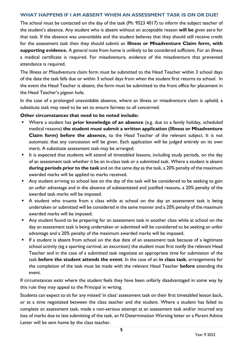#### **WHAT HAPPENS IF I AM ABSENT WHEN AN ASSESSMENT TASK IS ON OR DUE?**

The school must be contacted on the day of the task (Ph: 9523 4017) to inform the subject teacher of the student's absence. Any student who is absent without an acceptable reason **will be** given zero for that task. If the absence was unavoidable and the student believes that they should still receive credit for the assessment task then they should submit an **Illness or Misadventure Claim form, with supporting evidence.** A general note from home is unlikely to be considered sufficient. For an illness a medical certificate is required. For misadventure, evidence of the misadventure that prevented attendance is required.

The Illness or Misadventure claim form must be submitted to the Head Teacher within 3 school days of the date the task falls due or within 3 school days from when the student first returns to school. In the event the Head Teacher is absent, the form must be submitted to the front office for placement in the Head Teacher's pigeon hole.

In the case of a prolonged unavoidable absence, where an illness or misadventure claim is upheld, a substitute task may need to be set to ensure fairness to all concerned.

#### **Other circumstances that need to be noted include:**

- Where a student has **prior knowledge of an absence** (e.g. due to a family holiday, scheduled medical reasons) **the student must submit a written application (Illness or Misadventure Claim form) before the absence,** to the Head Teacher of the relevant subject. It is not automatic that any concession will be given. Each application will be judged entirely on its own merit. A substitute assessment task may be arranged.
- It is expected that students will attend all timetabled lessons, including study periods, on the day of an assessment task whether it be an in-class task or a submitted task. Where a student is absent **during periods prior to the task** and on the same day as the task, a 20% penalty of the maximum awarded marks will be applied to marks received.
- Any student arriving to school late on the day of the task will be considered to be seeking to gain an unfair advantage and in the absence of substantiated and justified reasons, a 20% penalty of the awarded task marks will be imposed.
- A student who truants from a class while at school on the day an assessment task is being undertaken or submitted will be considered in the same manner and a 20% penalty of the maximum awarded marks will be imposed.
- Any student found to be preparing for an assessment task in another class while at school on the day an assessment task is being undertaken or submitted will be considered to be seeking an unfair advantage and a 20% penalty of the maximum awarded marks will be imposed.
- **■** If a student is absent from school on the due date of an assessment task because of a legitimate school activity (eg a sporting carnival, an excursion) the student must first notify the relevant Head Teacher and in the case of a submitted task negotiate an appropriate time for submission of the task **before the student attends the event**. In the case of an **in class task**, arrangements for the completion of the task must be made with the relevant Head Teacher **before** attending the event.

If circumstances exist where the student feels they have been unfairly disadvantaged in some way by this rule they may appeal to the Principal in writing.

Students can expect to sit for any missed 'in class' assessment task on their first timetabled lesson back, or at a time negotiated between the class teacher and the student. Where a student has failed to complete an assessment task, made a non-serious attempt at an assessment task and/or incurred any loss of marks due to late submitting of the task, an N Determination Warning letter or a Parent Advice Letter will be sent home by the class teacher.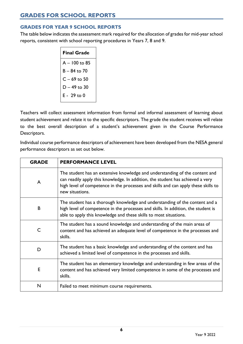# <span id="page-6-0"></span>**GRADES FOR SCHOOL REPORTS**

#### **GRADES FOR YEAR 9 SCHOOL REPORTS**

The table below indicates the assessment mark required for the allocation of grades for mid-year school reports, consistent with school reporting procedures in Years 7, 8 and 9.

| <b>Final Grade</b> |
|--------------------|
| A - 100 to 85      |
| B – 84 to 70       |
| $C - 69$ to 50     |
| D – 49 to 30       |
| $E - 29$ to 0      |

Teachers will collect assessment information from formal and informal assessment of learning about student achievement and relate it to the specific descriptors. The grade the student receives will relate to the best overall description of a student's achievement given in the Course Performance Descriptors.

Individual course performance descriptors of achievement have been developed from the NESA general performance descriptors as set out below.

| <b>GRADE</b> | <b>PERFORMANCE LEVEL</b>                                                                                                                                                                                                                                               |
|--------------|------------------------------------------------------------------------------------------------------------------------------------------------------------------------------------------------------------------------------------------------------------------------|
| A            | The student has an extensive knowledge and understanding of the content and<br>can readily apply this knowledge. In addition, the student has achieved a very<br>high level of competence in the processes and skills and can apply these skills to<br>new situations. |
| B            | The student has a thorough knowledge and understanding of the content and a<br>high level of competence in the processes and skills. In addition, the student is<br>able to apply this knowledge and these skills to most situations.                                  |
| C            | The student has a sound knowledge and understanding of the main areas of<br>content and has achieved an adequate level of competence in the processes and<br>skills.                                                                                                   |
| D            | The student has a basic knowledge and understanding of the content and has<br>achieved a limited level of competence in the processes and skills.                                                                                                                      |
| E            | The student has an elementary knowledge and understanding in few areas of the<br>content and has achieved very limited competence in some of the processes and<br>skills.                                                                                              |
| N            | Failed to meet minimum course requirements.                                                                                                                                                                                                                            |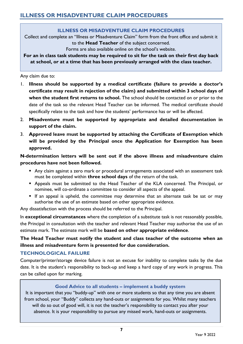#### **ILLNESS OR MISADVENTURE CLAIM PROCEDURES**

<span id="page-7-0"></span>Collect and complete an "Illness or Misadventure Claim" form from the front office and submit it to the **Head Teacher** of the subject concerned.

Forms are also available online on the school's website.

**For an in class task students may be required to sit for the task on their first day back at school, or at a time that has been previously arranged with the class teacher.**

Any claim due to:

- 1. **Illness should be supported by a medical certificate (failure to provide a doctor's certificate may result in rejection of the claim) and submitted within 3 school days of**  when the student first returns to school. The school should be contacted on or prior to the date of the task so the relevant Head Teacher can be informed. The medical certificate should specifically relate to the task and how the students' performance has or will be affected.
- 2. **Misadventure must be supported by appropriate and detailed documentation in support of the claim.**
- 3. **Approved leave must be supported by attaching the Certificate of Exemption which will be provided by the Principal once the Application for Exemption has been approved.**

**N-determination letters will be sent out if the above illness and misadventure claim procedures have not been followed.**

- Any claim against a zero mark or procedural arrangements associated with an assessment task must be completed within **three school days** of the return of the task.
- **E** Appeals must be submitted to the Head Teacher of the KLA concerned. The Principal, or nominee, will co-ordinate a committee to consider all aspects of the appeal.
- **E** If an appeal is upheld, the committee may determine that an alternate task be sat or may authorise the use of an estimate based on other appropriate evidence.

Any dissatisfaction with the process should be referred to the Principal.

In **exceptional circumstances** where the completion of a substitute task is not reasonably possible, the Principal in consultation with the teacher and relevant Head Teacher may authorise the use of an estimate mark. The estimate mark will be **based on other appropriate evidence**.

**The Head Teacher must notify the student and class teacher of the outcome when an illness and misadventure form is presented for due consideration.**

#### **TECHNOLOGICAL FAILURE**

Computer/printer/storage device failure is not an excuse for inability to complete tasks by the due date. It is the student's responsibility to back-up and keep a hard copy of any work in progress. This can be called upon for marking.

#### **Good Advice to all students – implement a buddy system**

It is important that you "buddy-up" with one or more students so that any time you are absent from school, your "Buddy" collects any hand-outs or assignments for you. Whilst many teachers will do so out of good will, it is not the teacher's responsibility to contact you after your absence. It is your responsibility to pursue any missed work, hand-outs or assignments.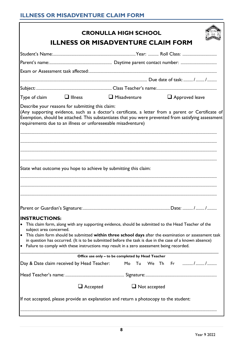|                                                              |                                                                                                                                                                                                                                                                                                               | <b>ILLNESS OR MISADVENTURE CLAIM FORM</b> |
|--------------------------------------------------------------|---------------------------------------------------------------------------------------------------------------------------------------------------------------------------------------------------------------------------------------------------------------------------------------------------------------|-------------------------------------------|
|                                                              |                                                                                                                                                                                                                                                                                                               |                                           |
|                                                              |                                                                                                                                                                                                                                                                                                               |                                           |
|                                                              |                                                                                                                                                                                                                                                                                                               |                                           |
|                                                              |                                                                                                                                                                                                                                                                                                               |                                           |
|                                                              |                                                                                                                                                                                                                                                                                                               |                                           |
| Type of claim<br>$\Box$ Illness                              | $\Box$ Misadventure                                                                                                                                                                                                                                                                                           | $\Box$ Approved leave                     |
|                                                              |                                                                                                                                                                                                                                                                                                               |                                           |
|                                                              |                                                                                                                                                                                                                                                                                                               |                                           |
|                                                              | State what outcome you hope to achieve by submitting this claim:                                                                                                                                                                                                                                              |                                           |
|                                                              |                                                                                                                                                                                                                                                                                                               |                                           |
|                                                              |                                                                                                                                                                                                                                                                                                               |                                           |
|                                                              |                                                                                                                                                                                                                                                                                                               |                                           |
| <b>INSTRUCTIONS:</b><br>$\bullet$<br>subject area concerned. | This claim form, along with any supporting evidence, should be submitted to the Head Teacher of the                                                                                                                                                                                                           |                                           |
| $\bullet$                                                    | This claim form should be submitted within three school days after the examination or assessment task<br>in question has occurred. (It is to be submitted before the task is due in the case of a known absence)<br>Failure to comply with these instructions may result in a zero assessment being recorded. |                                           |
|                                                              | Office use only - to be completed by Head Teacher                                                                                                                                                                                                                                                             |                                           |
|                                                              |                                                                                                                                                                                                                                                                                                               |                                           |
|                                                              |                                                                                                                                                                                                                                                                                                               | Mo Tu We Th Fr //                         |
| Day & Date claim received by Head Teacher:                   | $\Box$ Accepted<br>$\Box$ Not accepted                                                                                                                                                                                                                                                                        |                                           |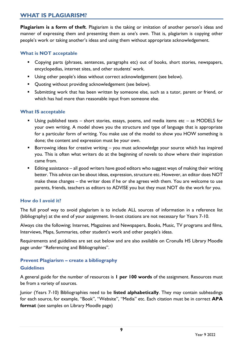## <span id="page-9-0"></span>**WHAT IS PLAGIARISM?**

**Plagiarism is a form of theft**. Plagiarism is the taking or imitation of another person's ideas and manner of expressing them and presenting them as one's own. That is, plagiarism is copying other people's work or taking another's ideas and using them without appropriate acknowledgement.

#### **What is NOT acceptable**

- Copying parts (phrases, sentences, paragraphs etc) out of books, short stories, newspapers, encyclopedias, internet sites, and other students' work.
- Using other people's ideas without correct acknowledgement (see below).
- Quoting without providing acknowledgement (see below).
- **E** Submitting work that has been written by someone else, such as a tutor, parent or friend, or which has had more than reasonable input from someone else.

#### **What IS acceptable**

- Using published texts short stories, essays, poems, and media items etc as MODELS for your own writing. A model shows you the structure and type of language that is appropriate for a particular form of writing. You make use of the model to show you HOW something is done; the content and expression must be your own.
- Borrowing ideas for creative writing you must acknowledge your source which has inspired you. This is often what writers do at the beginning of novels to show where their inspiration came from.
- Editing assistance all good writers have good editors who suggest ways of making their writing better. This advice can be about ideas, expression, structure etc. However, an editor does NOT make these changes – the writer does if he or she agrees with them. You are welcome to use parents, friends, teachers as editors to ADVISE you but they must NOT do the work for you.

#### **How do I avoid it?**

The full proof way to avoid plagiarism is to include ALL sources of information in a reference list (bibliography) at the end of your assignment. In-text citations are not necessary for Years 7-10.

Always cite the following; Internet, Magazines and Newspapers, Books, Music, TV programs and films, Interviews, Maps, Summaries, other student's work and other people's ideas.

Requirements and guidelines are set out below and are also available on Cronulla HS Library Moodle page under "Referencing and Bibliographies".

#### **Prevent Plagiarism – create a bibliography Guidelines**

A general guide for the number of resources is **1 per 100 words** of the assignment. Resources must be from a variety of sources.

Junior (Years 7-10) Bibliographies need to be **listed alphabetically**. They may contain subheadings for each source, for example, "Book", "Website", "Media" etc. Each citation must be in correct **APA format** (see samples on Library Moodle page)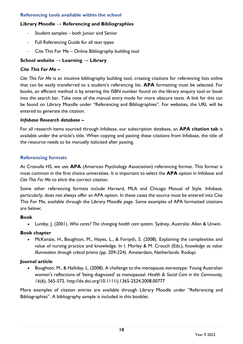#### **Referencing tools available within the school**

#### **Library Moodle → Referencing and Bibliographies**

- Student samples both Junior and Senior
- Full Referencing Guide for all text types
- Cite This For Me Online Bibliography building tool

#### **School website → Learning → Library**

#### *Cite This For Me* **–**

*Cite This For Me* is an intuitive bibliography building tool, creating citations for referencing lists online that can be easily transferred to a student's referencing list. **APA** formatting must be selected. For books, an efficient method is by entering the ISBN number found on the library enquiry tool or book into the search bar. Take note of the manual entry mode for more obscure texts. A link for this can be found on Library Moodle under "Referencing and Bibliographies". For websites, the URL will be entered to generate the citation.

#### *Infobase Research database* **–**

For all research items sourced through Infobase, our subscription database, an **APA citation tab** is available under the article's title. When copying and pasting these citations from Infobase, the title of the resource needs to be manually italicised after pasting.

#### **Referencing formats**

At Cronulla HS, we use **APA** (American Psychology Association) referencing format. This format is most common in the first choice universities. It is important to select the **APA** option in Infobase and *Cite This For Me* to elicit the correct citation.

Some other referencing formats include Harvard, MLA and Chicago Manual of Style. Infobase, particularly, does not always offer an APA option. In these cases the source must be entered into Cite This For Me, available through the Library Moodle page. Some examples of APA formatted citations are below;

#### **Book**

• Lumby, J. (2001). *Who cares? The changing health care system.* Sydney, Australia: Allen & Unwin.

#### **Book chapter**

• McKenzie, H., Boughton, M., Hayes, L., & Forsyth, S. (2008). Explaining the complexities and value of nursing practice and knowledge. In I. Morley & M. Crouch (Eds.), *Knowledge as value: Illumination through critical prisms* (pp. 209-224). Amsterdam, Netherlands: Rodopi.

#### **Journal article**

• Boughton, M., & Halliday, L. (2008). A challenge to the menopause stereotype: Young Australian women's reflections of 'being diagnosed' as menopausal. *Health & Social Care in the Community, 16*(6), 565-572. http://dx.doi.org/10.1111/j.1365-2524.2008.00777

More examples of citation entries are available through Library Moodle under "Referencing and Bibliographies". A bibliography sample is included in this booklet.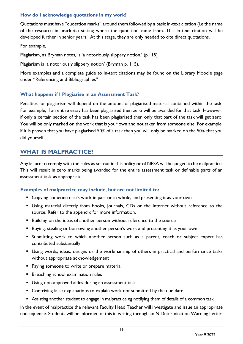#### **How do I acknowledge quotations in my work?**

Quotations must have "quotation marks" around them followed by a basic in-text citation (i.e the name of the resource in brackets) stating where the quotation came from. This in-text citation will be developed further in senior years. At this stage, they are only needed to cite direct quotations.

For example,

Plagiarism, as Bryman notes, is 'a notoriously slippery notion.' (p.115)

Plagiarism is 'a notoriously slippery notion' (Bryman p. 115).

More examples and a complete guide to in-text citations may be found on the Library Moodle page under "Referencing and Bibliographies"

#### **What happens if I Plagiarise in an Assessment Task?**

Penalties for plagiarism will depend on the amount of plagiarised material contained within the task. For example, if an entire essay has been plagiarised then zero will be awarded for that task. However, if only a certain section of the task has been plagiarised then only that part of the task will get zero. You will be only marked on the work that is your own and not taken from someone else. For example, if it is proven that you have plagiarised 50% of a task then you will only be marked on the 50% that you did yourself.

## <span id="page-11-0"></span>**WHAT IS MALPRACTICE?**

Any failure to comply with the rules as set out in this policy or of NESA will be judged to be malpractice. This will result in zero marks being awarded for the entire assessment task or definable parts of an assessment task as appropriate.

#### **Examples of malpractice may include, but are not limited to:**

- Copying someone else's work in part or in whole, and presenting it as your own
- Using material directly from books, journals, CDs or the internet without reference to the source. Refer to the appendix for more information.
- Building on the ideas of another person without reference to the source
- Buying, stealing or borrowing another person's work and presenting it as your own
- **E** Submitting work to which another person such as a parent, coach or subject expert has contributed substantially
- **E** Using words, ideas, designs or the workmanship of others in practical and performance tasks without appropriate acknowledgement
- Paying someone to write or prepare material
- **E** Breaching school examination rules
- **■** Using non-approved aides during an assessment task
- Contriving false explanations to explain work not submitted by the due date
- Assisting another student to engage in malpractice eg notifying them of details of a common task

In the event of malpractice the relevant Faculty Head Teacher will investigate and issue an appropriate consequence. Students will be informed of this in writing through an N Determination Warning Letter.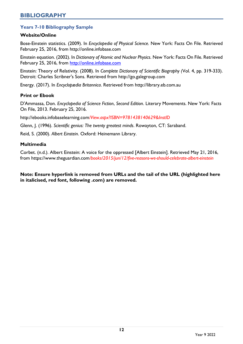#### <span id="page-12-0"></span>**Years 7-10 Bibliography Sample**

#### **Website/Online**

Bose-Einstein statistics. (2009). In *Encyclopedia of Physical Science.* New York: Facts On File. Retrieved February 25, 2016, from http://online.infobase.com

Einstein equation. (2002). In *Dictionary of Atomic and Nuclear Physics*. New York: Facts On File. Retrieved February 25, 2016, from [http://online.infobase.com](http://online.infobase.com/HRC/Search/Details/294533?q=einstein)

Einstein: Theory of Relativity. (2008). In *Complete Dictionary of Scientific Biography (*Vol. 4, pp. 319-333). Detroit: Charles Scribner's Sons. Retrieved from http://go.galegroup.com

Energy. (2017). In *Encyclopædia Britannica*. Retrieved from [http://library.eb.com.au](http://library.eb.com.au/levels/teens/article/energy/274180#200190.toc)

#### **Print or Ebook**

D'Ammassa, Don. *Encyclopedia of Science Fiction*, *Second Edition*. Literary Movements. New York: Facts On File, 2013. February 25, 2016.

http://ebooks.infobaselearning.com*/View.aspx?ISBN=9781438140629&InstID*

Glenn, J. (1996). *Scientific genius: The twenty greatest minds*. Rowayton, CT: Saraband.

Reid, S. (2000). *Albert Einstein*. Oxford: Heinemann Library.

#### **Multimedia**

Corbet. (n.d.). Albert Einstein: A voice for the oppressed [Albert Einstein]. Retrieved May 21, 2016, from https://www.theguardian.com*/books/2015/jun/12/five-reasons-we-should-celebrate-albert-einstein*

**Note: Ensure hyperlink is removed from URLs and the tail of the URL (highlighted here in italicised, red font, following .com) are removed.**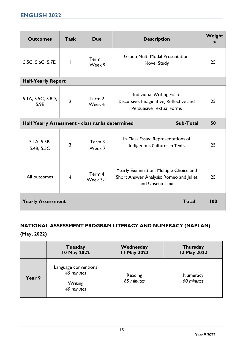<span id="page-13-0"></span>

| <b>Outcomes</b>                                 | <b>Task</b>    | <b>Due</b>         | Weight<br><b>Description</b><br>%                                                                       |     |
|-------------------------------------------------|----------------|--------------------|---------------------------------------------------------------------------------------------------------|-----|
| 5.5C, 5.6C, 5.7D                                | $\mathbf{I}$   | Term I<br>Week 9   | <b>Group Multi-Modal Presentation:</b><br>Novel Study                                                   | 25  |
| <b>Half-Yearly Report</b>                       |                |                    |                                                                                                         |     |
| 5.1A, 5.5C, 5.8D,<br>5.9E                       | $\overline{2}$ | Term 2<br>Week 6   | Individual Writing Folio:<br>Discursive, Imaginative, Reflective and<br><b>Persuasive Textual Forms</b> | 25  |
| Half Yearly Assessment - class ranks determined |                |                    | <b>Sub-Total</b>                                                                                        | 50  |
| 5.1A, 5.3B,<br>5.4B, 5.5C                       | 3              | Term 3<br>Week 7   | In-Class Essay: Representations of<br>Indigenous Cultures in Texts                                      | 25  |
| All outcomes                                    | $\overline{4}$ | Term 4<br>Week 3-4 | Yearly Examination: Multiple Choice and<br>Short Answer Analysis: Romeo and Juliet<br>and Unseen Text   | 25  |
| <b>Yearly Assessment</b>                        |                |                    | <b>Total</b>                                                                                            | 100 |

# **NATIONAL ASSESSMENT PROGRAM LITERACY AND NUMERACY (NAPLAN) (May, 2022)**

|        | <b>Tuesday</b>                                              | Wednesday             | <b>Thursday</b>        |
|--------|-------------------------------------------------------------|-----------------------|------------------------|
|        | 10 May 2022                                                 | <b>II May 2022</b>    | 12 May 2022            |
| Year 9 | Language conventions<br>45 minutes<br>Writing<br>40 minutes | Reading<br>65 minutes | Numeracy<br>60 minutes |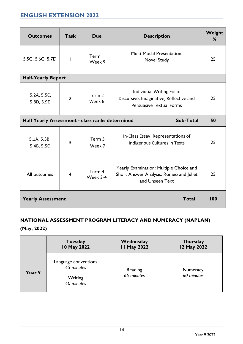# <span id="page-14-0"></span>**ENGLISH EXTENSION 2022**

| <b>Outcomes</b>                                 | <b>Task</b>    | <b>Due</b>         | Weight<br><b>Description</b><br>%                                                                       |     |  |
|-------------------------------------------------|----------------|--------------------|---------------------------------------------------------------------------------------------------------|-----|--|
| 5.5C, 5.6C, 5.7D                                | $\overline{1}$ | Term I<br>Week 9   | <b>Multi-Modal Presentation:</b><br>Novel Study                                                         | 25  |  |
| <b>Half-Yearly Report</b>                       |                |                    |                                                                                                         |     |  |
| 5.2A, 5.5C,<br>5.8D, 5.9E                       | $\overline{2}$ | Term 2<br>Week 6   | Individual Writing Folio:<br>Discursive, Imaginative, Reflective and<br><b>Persuasive Textual Forms</b> | 25  |  |
| Half Yearly Assessment - class ranks determined |                |                    | Sub-Total                                                                                               | 50  |  |
| 5.1A, 5.3B,<br>5.4B, 5.5C                       | 3              | Term 3<br>Week 7   | In-Class Essay: Representations of<br>Indigenous Cultures in Texts                                      | 25  |  |
| All outcomes                                    | $\overline{4}$ | Term 4<br>Week 3-4 | Yearly Examination: Multiple Choice and<br>Short Answer Analysis: Romeo and Juliet<br>and Unseen Text   | 25  |  |
| <b>Yearly Assessment</b>                        |                |                    | <b>Total</b>                                                                                            | 100 |  |

# **NATIONAL ASSESSMENT PROGRAM LITERACY AND NUMERACY (NAPLAN) (May, 2022)**

| May, 2022) |                                                             |                                 |  |
|------------|-------------------------------------------------------------|---------------------------------|--|
|            | <b>Tuesday</b><br>10 May 2022                               | Wednesday<br><b>11 May 2022</b> |  |
| Year 9     | Language conventions<br>45 minutes<br>Writing<br>40 minutes | Reading<br>65 minutes           |  |

**Thursday 12 May 2022**

> **Numeracy** *60 minutes*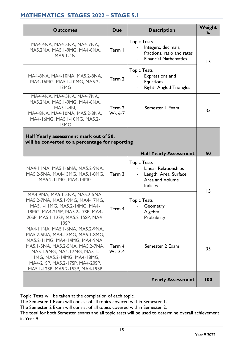# <span id="page-15-0"></span>**MATHEMATICS STAGES 2022 – STAGE 5.1**

| <b>Outcomes</b>                                                                                                                                                                                                                                                                      | <b>Due</b>              | <b>Description</b>                                                                                                 | Weight<br>% |
|--------------------------------------------------------------------------------------------------------------------------------------------------------------------------------------------------------------------------------------------------------------------------------------|-------------------------|--------------------------------------------------------------------------------------------------------------------|-------------|
| MA4-4NA, MA4-5NA, MA4-7NA,<br>MA5.2NA, MA5.1-9MG, MA4-6NA,<br><b>MA5.1-4N</b>                                                                                                                                                                                                        | Term I                  | <b>Topic Tests</b><br>Integers, decimals,<br>fractions, ratio and rates<br><b>Financial Mathematics</b>            | 15          |
| MA4-8NA, MA4-10NA, MA5.2-8NA,<br>MA4-16MG, MA5.1-10MG, MA5.2-<br>13MG                                                                                                                                                                                                                | Term 2                  | <b>Topic Tests</b><br>Expressions and<br><b>Equations</b><br><b>Right- Angled Triangles</b>                        |             |
| MA4-4NA, MA4-5NA, MA4-7NA,<br>MA5.2NA, MA5.1-9MG, MA4-6NA,<br>MA5.1-4N.<br>MA4-8NA, MA4-10NA, MA5.2-8NA,<br>MA4-16MG, MA5.1-10MG, MA5.2-<br>13MG                                                                                                                                     | Term 2<br>Wk 6-7        | Semester I Exam                                                                                                    | 35          |
| Half Yearly assessment mark out of 50,<br>will be converted to a percentage for reporting                                                                                                                                                                                            |                         |                                                                                                                    |             |
|                                                                                                                                                                                                                                                                                      |                         | <b>Half Yearly Assessment</b>                                                                                      | 50          |
| MA4-11NA, MA5.1-6NA, MA5.2-9NA,<br>MA5.2-5NA, MA4-13MG, MA5.1-8MG,<br>MA5.2-11MG, MA4-14MG                                                                                                                                                                                           | Term 3                  | <b>Topic Tests</b><br><b>Linear Relationships</b><br>Length, Area, Surface<br>$\sim$<br>Area and Volume<br>Indices |             |
| MA4-9NA, MA5.1-5NA, MA5.2-5NA,<br>MA5.2-7NA, MA5.1-9MG, MA4-17MG,<br>MA5.1-11MG, MA5.2-14MG, MA4-<br>18MG, MA4-21SP, MA5.2-17SP, MA4-<br>20SP, MA5.1-12SP, MA5.2-15SP, MA4-<br>19SP                                                                                                  | Term 4                  | <b>Topic Tests</b><br>Geometry<br>Algebra<br>Probability                                                           | 15          |
| MA4-11NA, MA5.1-6NA, MA5.2-9NA,<br>MA5.2-5NA, MA4-13MG, MA5.1-8MG,<br>MA5.2-11MG, MA4-14MG, MA4-9NA,<br>MA5.1-5NA, MA5.2-5NA, MA5.2-7NA,<br>MA5.1-9MG, MA4-17MG, MA5.1-<br><b>IIMG, MA5.2-14MG, MA4-18MG,</b><br>MA4-21SP, MA5.2-17SP, MA4-20SP,<br>MA5.1-12SP, MA5.2-15SP, MA4-19SP | Term 4<br><b>Wk 3-4</b> | Semester 2 Exam                                                                                                    | 35          |
|                                                                                                                                                                                                                                                                                      |                         | <b>Yearly Assessment</b>                                                                                           | 100         |

Topic Tests will be taken at the completion of each topic.

The Semester 1 Exam will consist of all topics covered within Semester 1.

The Semester 2 Exam will consist of all topics covered within Semester 2.

The total for both Semester exams and all topic tests will be used to determine overall achievement in Year 9.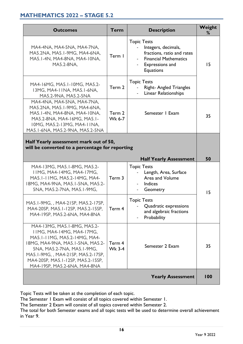## <span id="page-16-0"></span>**MATHEMATICS 2022 – STAGE 5.2**

| <b>Outcomes</b>                                                                                                                                                                                          | <b>Term</b>             | <b>Description</b>                                                                                                                             | Weight<br>℅ |
|----------------------------------------------------------------------------------------------------------------------------------------------------------------------------------------------------------|-------------------------|------------------------------------------------------------------------------------------------------------------------------------------------|-------------|
| MA4-4NA, MA4-5NA, MA4-7NA,<br>MA5.2NA, MA5.1-9MG, MA4-6NA,<br>MA5.1-4N, MA4-8NA, MA4-10NA,<br><b>MA5.2-8NA,</b>                                                                                          | Term I                  | <b>Topic Tests</b><br>Integers, decimals,<br>fractions, ratio and rates<br><b>Financial Mathematics</b><br>Expressions and<br><b>Equations</b> | 15          |
| MA4-16MG, MA5.1-10MG, MA5.2-<br>13MG, MA4-11NA, MA5.1-6NA,<br>MA5.2-9NA, MA5.2-5NA                                                                                                                       | Term 2                  | <b>Topic Tests</b><br><b>Right- Angled Triangles</b><br>Linear Relationships                                                                   |             |
| MA4-4NA, MA4-5NA, MA4-7NA,<br>MA5.2NA, MA5.1-9MG, MA4-6NA,<br>MA5.1-4N, MA4-8NA, MA4-10NA,<br>MA5.2-8NA, MA4-16MG, MA5.1-<br>10MG, MA5.2-13MG, MA4-11NA,<br>MA5.1-6NA, MA5.2-9NA, MA5.2-5NA              | Term 2<br>Wk 6-7        | Semester I Exam                                                                                                                                | 35          |
| Half Yearly assessment mark out of 50,<br>will be converted to a percentage for reporting                                                                                                                |                         |                                                                                                                                                |             |
|                                                                                                                                                                                                          |                         | <b>Half Yearly Assessment</b>                                                                                                                  | 50          |
| MA4-13MG, MA5.1-8MG, MA5.2-<br>IIMG, MA4-14MG, MA4-17MG,<br>MA5.1-11MG, MA5.2-14MG, MA4-<br>18MG, MA4-9NA, MA5.1-5NA, MA5.2-<br>5NA, MA5.2-7NA, MA5.1-9MG,                                               | Term 3                  | <b>Topic Tests</b><br>Length, Area, Surface<br>Area and Volume<br>Indices<br>Geometry                                                          | 15          |
| MA5.1-9MG,, MA4-21SP, MA5.2-17SP,<br>MA4-20SP, MA5.1-12SP, MA5.2-15SP,<br>MA4-19SP, MA5.2-6NA, MA4-8NA                                                                                                   | Term 4                  | <b>Topic Tests</b><br>Quadratic expressions<br>and algebraic fractions<br>Probability                                                          |             |
| MA4-13MG, MA5.1-8MG, MA5.2-<br><b>IIMG, MA4-14MG, MA4-17MG,</b>                                                                                                                                          |                         |                                                                                                                                                |             |
| MA5.1-11MG, MA5.2-14MG, MA4-<br>18MG, MA4-9NA, MA5.1-5NA, MA5.2-<br>5NA, MA5.2-7NA, MA5.1-9MG,<br>MA5.1-9MG,, MA4-21SP, MA5.2-17SP,<br>MA4-20SP, MA5.1-12SP, MA5.2-15SP,<br>MA4-19SP, MA5.2-6NA, MA4-8NA | Term 4<br><b>Wk 3-4</b> | Semester 2 Exam                                                                                                                                | 35          |

Topic Tests will be taken at the completion of each topic.

The Semester 1 Exam will consist of all topics covered within Semester 1.

The Semester 2 Exam will consist of all topics covered within Semester 2.

The total for both Semester exams and all topic tests will be used to determine overall achievement in Year 9.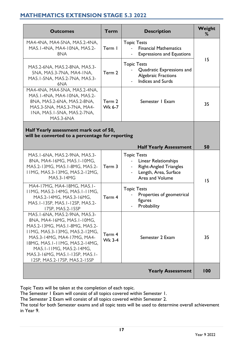# <span id="page-17-0"></span>**MATHEMATICS EXTENSION STAGE 5.3 2022**

| <b>Outcomes</b>                                                                                                                                                                                                                                                                          | <b>Term</b>             | <b>Description</b>                                                                                                      | Weight<br>% |
|------------------------------------------------------------------------------------------------------------------------------------------------------------------------------------------------------------------------------------------------------------------------------------------|-------------------------|-------------------------------------------------------------------------------------------------------------------------|-------------|
| MA4-4NA, MA4-5NA, MA5.2-4NA,<br>MA5.1-4NA, MA4-10NA, MA5.2-<br>8NA                                                                                                                                                                                                                       | Term I                  | <b>Topic Tests</b><br><b>Financial Mathematics</b><br><b>Expressions and Equations</b>                                  |             |
| MA5.2-6NA, MA5.2-8NA, MA5.3-<br>5NA, MA5.3-7NA, MA4-INA,<br>MA5.1-5NA, MA5.2-7NA, MA5.3-<br>6NA                                                                                                                                                                                          | Term 2                  | <b>Topic Tests</b><br>Quadratic Expressions and<br><b>Algebraic Fractions</b><br><b>Indices and Surds</b>               | 15          |
| MA4-4NA, MA4-5NA, MA5.2-4NA,<br>MA5.1-4NA, MA4-10NA, MA5.2-<br>8NA, MA5.2-6NA, MA5.2-8NA,<br>MA5.3-5NA, MA5.3-7NA, MA4-<br>INA, MA5.1-5NA, MA5.2-7NA,<br><b>MA5.3-6NA</b>                                                                                                                | Term 2<br>Wk 6-7        | Semester I Exam                                                                                                         | 35          |
| Half Yearly assessment mark out of 50,<br>will be converted to a percentage for reporting                                                                                                                                                                                                |                         |                                                                                                                         |             |
|                                                                                                                                                                                                                                                                                          |                         | <b>Half Yearly Assessment</b>                                                                                           | 50          |
| MA5.1-6NA, MA5.2-9NA, MA5.3-<br>8NA, MA4-16MG, MA5.1-10MG,<br>MA5.2-13MG, MA5.1-8MG, MA5.2-<br>I IMG, MA5.3-13MG, MA5.2-12MG,<br><b>MA5.3-14MG</b>                                                                                                                                       | Term 3                  | <b>Topic Tests</b><br>Linear Relationships<br><b>Right-Angled Triangles</b><br>Length, Area, Surface<br>Area and Volume | 15          |
| MA4-17MG, MA4-18MG, MA5.1-<br>I IMG, MA5.2-14MG, MA5.1-11MG,<br>MA5.2-14MG, MA5.3-16MG,<br>MA5.1-13SP, MA5.1-12SP, MA5.2-<br>17SP, MA5.2-15SP                                                                                                                                            | Term 4                  | <b>Topic Tests</b><br>Properties of geometrical<br>figures<br>Probability                                               |             |
| MA5.1-6NA, MA5.2-9NA, MA5.3-<br>8NA, MA4-16MG, MA5.1-10MG,<br>MA5.2-13MG, MA5.1-8MG, MA5.2-<br>11MG, MA5.3-13MG, MA5.2-12MG,<br>MA5.3-14MG, MA4-17MG, MA4-<br>18MG, MA5.1-11MG, MA5.2-14MG,<br>MA5.1-11MG, MA5.2-14MG,<br>MA5.3-16MG, MA5.1-13SP, MA5.1-<br>12SP, MA5.2-17SP, MA5.2-15SP | Term 4<br><b>Wk 3-4</b> | Semester 2 Exam                                                                                                         | 35          |
|                                                                                                                                                                                                                                                                                          |                         | <b>Yearly Assessment</b>                                                                                                | 100         |

Topic Tests will be taken at the completion of each topic.

The Semester 1 Exam will consist of all topics covered within Semester 1.

The Semester 2 Exam will consist of all topics covered within Semester 2.

The total for both Semester exams and all topic tests will be used to determine overall achievement in Year 9.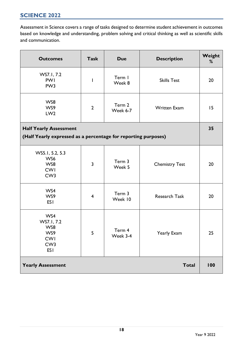## <span id="page-18-0"></span>**SCIENCE 2022**

Assessment in Science covers a range of tasks designed to determine student achievement in outcomes based on knowledge and understanding, problem solving and critical thinking as well as scientific skills and communication.

| <b>Outcomes</b>                                                                | <b>Task</b>             | <b>Due</b>         | <b>Description</b>    | Weight<br>% |
|--------------------------------------------------------------------------------|-------------------------|--------------------|-----------------------|-------------|
| WS7.1, 7.2<br><b>PWI</b><br>PW <sub>3</sub>                                    | $\mathsf{l}$            | Term I<br>Week 8   | <b>Skills Test</b>    | 20          |
| WS8<br>WS9<br>LW <sub>2</sub>                                                  | $\overline{2}$          | Term 2<br>Week 6-7 | <b>Written Exam</b>   | 15          |
| <b>Half Yearly Assessment</b>                                                  |                         |                    |                       | 35          |
| (Half Yearly expressed as a percentage for reporting purposes)                 |                         |                    |                       |             |
| WS5.1, 5.2, 5.3<br>WS6<br>WS8<br><b>CWI</b><br>CW <sub>3</sub>                 | $\overline{3}$          | Term 3<br>Week 5   | <b>Chemistry Test</b> | 20          |
| WS4<br>WS9<br><b>ESI</b>                                                       | $\overline{\mathbf{4}}$ | Term 3<br>Week 10  | <b>Research Task</b>  | 20          |
| WS4<br>WS7.1, 7.2<br>WS8<br>WS9<br><b>CWI</b><br>CW <sub>3</sub><br><b>ESI</b> | 5                       | Term 4<br>Week 3-4 | Yearly Exam           | 25          |
| <b>Yearly Assessment</b>                                                       |                         |                    | <b>Total</b>          | 100         |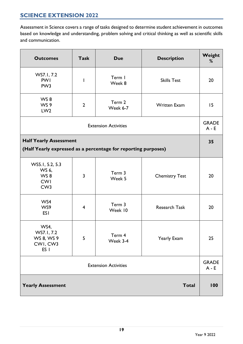# <span id="page-19-0"></span>**SCIENCE EXTENSION 2022**

Assessment in Science covers a range of tasks designed to determine student achievement in outcomes based on knowledge and understanding, problem solving and critical thinking as well as scientific skills and communication.

| <b>Outcomes</b>                                                                                 | <b>Task</b>    | <b>Due</b>         | <b>Description</b>    | Weight<br>% |  |
|-------------------------------------------------------------------------------------------------|----------------|--------------------|-----------------------|-------------|--|
| WS7.1, 7.2<br><b>PWI</b><br>PW <sub>3</sub>                                                     | I              | Term I<br>Week 8   | <b>Skills Test</b>    | 20          |  |
| WS8<br>WS 9<br>LW <sub>2</sub>                                                                  | $\overline{2}$ | Term 2<br>Week 6-7 | <b>Written Exam</b>   | 15          |  |
| <b>Extension Activities</b>                                                                     |                |                    |                       |             |  |
| <b>Half Yearly Assessment</b><br>(Half Yearly expressed as a percentage for reporting purposes) |                |                    |                       |             |  |
| WS5.1, 5.2, 5.3<br>WS 6,<br>WS8<br><b>CWI</b><br>CW <sub>3</sub>                                | $\overline{3}$ | Term 3<br>Week 5   | <b>Chemistry Test</b> | 20          |  |
| WS4<br>WS9<br><b>ESI</b>                                                                        | $\overline{4}$ | Term 3<br>Week 10  | <b>Research Task</b>  | 20          |  |
| WS4,<br>WS7.1, 7.2<br>WS 8, WS 9<br>CWI, CW3<br>ES <sub>I</sub>                                 | 5              | Term 4<br>Week 3-4 | Yearly Exam           | 25          |  |
| <b>Extension Activities</b>                                                                     |                |                    |                       |             |  |
| <b>Yearly Assessment</b>                                                                        |                |                    | <b>Total</b>          | 100         |  |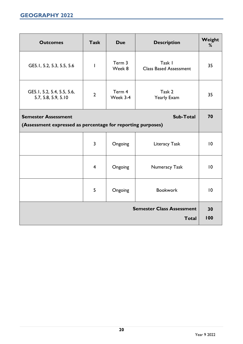<span id="page-20-0"></span>

| <b>Outcomes</b>                                                                                               | <b>Task</b>    | <b>Due</b>         | <b>Description</b>                      | Weight<br>% |  |
|---------------------------------------------------------------------------------------------------------------|----------------|--------------------|-----------------------------------------|-------------|--|
| GE5.1, 5.2, 5.3, 5.5, 5.6                                                                                     | T              | Term 3<br>Week 8   | Task I<br><b>Class Based Assessment</b> | 35          |  |
| GE5.1, 5.2, 5.4, 5.5, 5.6,<br>5.7, 5.8, 5.9, 5.10                                                             | $\overline{2}$ | Term 4<br>Week 3-4 | Task 2<br>Yearly Exam                   | 35          |  |
| <b>Sub-Total</b><br><b>Semester Assessment</b><br>(Assessment expressed as percentage for reporting purposes) |                |                    |                                         |             |  |
|                                                                                                               |                |                    |                                         |             |  |
|                                                                                                               | $\overline{3}$ | Ongoing            | Literacy Task                           | 10          |  |
|                                                                                                               | $\overline{4}$ | Ongoing            | <b>Numeracy Task</b>                    | 10          |  |
|                                                                                                               | 5              | Ongoing            | <b>Bookwork</b>                         | 10          |  |
| <b>Semester Class Assessment</b><br><b>Total</b>                                                              |                |                    |                                         |             |  |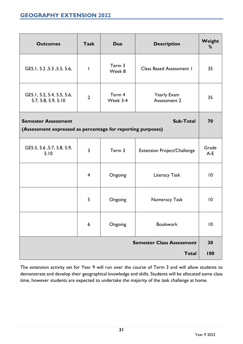<span id="page-21-0"></span>

| <b>Outcomes</b>                                             | <b>Task</b>    | <b>Due</b>         | <b>Description</b>                 | Weight<br>%    |  |
|-------------------------------------------------------------|----------------|--------------------|------------------------------------|----------------|--|
| GE5.1, 5.2, 5.3, 5.5, 5.6,                                  | I.             | Term 3<br>Week 8   | <b>Class Based Assessment I</b>    | 35             |  |
| GE5.1, 5.2, 5.4, 5.5, 5.6,<br>5.7, 5.8, 5.9, 5.10           | $\overline{2}$ | Term 4<br>Week 3-4 | Yearly Exam<br>Assessment 2        | 35             |  |
| Sub-Total<br><b>Semester Assessment</b>                     |                |                    |                                    |                |  |
| (Assessment expressed as percentage for reporting purposes) |                |                    |                                    |                |  |
| GE5.5, 5.6, 5.7, 5.8, 5.9,<br>5.10                          | $\overline{3}$ | Term 3             | <b>Extension Project/Challenge</b> | Grade<br>$A-E$ |  |
|                                                             | $\overline{4}$ | Ongoing            | Literacy Task                      | $\overline{0}$ |  |
|                                                             | 5              | Ongoing            | Numeracy Task                      | $\overline{0}$ |  |
|                                                             | 6              | Ongoing            | <b>Bookwork</b>                    | $\overline{0}$ |  |
|                                                             |                |                    | <b>Semester Class Assessment</b>   | 30             |  |
|                                                             |                |                    | <b>Total</b>                       | 100            |  |

The extension activity set for Year 9 will run over the course of Term 3 and will allow students to demonstrate and develop their geographical knowledge and skills. Students will be allocated some class time, however students are expected to undertake the majority of the task challenge at home.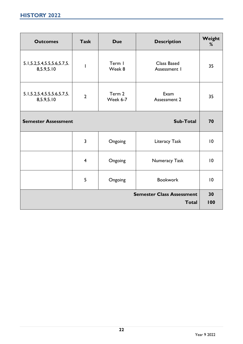<span id="page-22-0"></span>

| <b>Outcomes</b>                                  | <b>Task</b>              | <b>Due</b>         | <b>Description</b>                 | Weight<br>% |  |
|--------------------------------------------------|--------------------------|--------------------|------------------------------------|-------------|--|
| 5.1, 5.2, 5.4, 5.5, 5.6, 5.7, 5.<br>8,5.9,5.10   | $\overline{\phantom{a}}$ | Term I<br>Week 8   | <b>Class Based</b><br>Assessment I | 35          |  |
| 5.1, 5.2, 5.4, 5.5, 5.6, 5.7, 5.<br>8,5.9,5.10   | $\overline{2}$           | Term 2<br>Week 6-7 | Exam<br><b>Assessment 2</b>        | 35          |  |
| <b>Semester Assessment</b>                       |                          |                    | <b>Sub-Total</b>                   | 70          |  |
|                                                  | 3                        | Ongoing            | Literacy Task                      | 10          |  |
|                                                  | $\overline{\mathbf{4}}$  | Ongoing            | Numeracy Task                      | 10          |  |
|                                                  | 5                        | Ongoing            | <b>Bookwork</b>                    | 10          |  |
| <b>Semester Class Assessment</b><br><b>Total</b> |                          |                    |                                    |             |  |
|                                                  |                          |                    |                                    | 100         |  |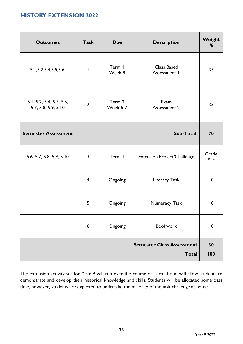<span id="page-23-0"></span>

| <b>Outcomes</b>                                 | <b>Task</b>      | <b>Due</b>         | <b>Description</b>                               | Weight<br>%     |
|-------------------------------------------------|------------------|--------------------|--------------------------------------------------|-----------------|
| 5.1, 5.2, 5.4, 5.5, 5.6,                        |                  | Term I<br>Week 8   | Class Based<br>Assessment I                      | 35              |
| 5.1, 5.2, 5.4, 5.5, 5.6,<br>5.7, 5.8, 5.9, 5.10 | $\overline{2}$   | Term 2<br>Week 6-7 | Exam<br>Assessment 2                             | 35              |
| <b>Semester Assessment</b>                      |                  |                    | Sub-Total                                        | 70              |
| 5.6, 5.7, 5.8, 5.9, 5.10                        | $\overline{3}$   | Term I             | Extension Project/Challenge                      | Grade<br>$A-E$  |
|                                                 | $\overline{4}$   | Ongoing            | Literacy Task                                    | 10              |
|                                                 | 5                | Ongoing            | Numeracy Task                                    | 10              |
|                                                 | $\boldsymbol{6}$ | Ongoing            | <b>Bookwork</b>                                  | $\overline{10}$ |
|                                                 |                  |                    | <b>Semester Class Assessment</b><br><b>Total</b> | 30<br>100       |

The extension activity set for Year 9 will run over the course of Term 1 and will allow students to demonstrate and develop their historical knowledge and skills. Students will be allocated some class time, however, students are expected to undertake the majority of the task challenge at home.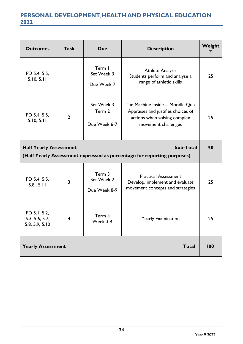# <span id="page-24-0"></span>**PERSONAL DEVELOPMENT, HEALTH AND PHYSICAL EDUCATION 2022**

| <b>Outcomes</b>                                                                                                       | <b>Task</b>    | <b>Due</b>                           | <b>Description</b>                                                                                                            | Weight<br>% |  |
|-----------------------------------------------------------------------------------------------------------------------|----------------|--------------------------------------|-------------------------------------------------------------------------------------------------------------------------------|-------------|--|
| PD 5.4, 5.5,<br>5.10, 5.11                                                                                            |                | Term I<br>Set Week 3<br>Due Week 7   | <b>Athlete Analysis</b><br>Students perform and analyse a<br>range of athletic skills                                         | 25          |  |
| PD 5.4, 5.5,<br>5.10, 5.11                                                                                            | $\overline{2}$ | Set Week 3<br>Term 2<br>Due Week 6-7 | The Machine Inside - Moodle Quiz<br>Appraises and justifies choices of<br>actions when solving complex<br>movement challenges | 25          |  |
| <b>Half Yearly Assessment</b><br>Sub-Total<br>(Half Yearly Assessment expressed as percentage for reporting purposes) |                |                                      |                                                                                                                               |             |  |
| PD 5.4, 5.5,<br>5.8, 5.11                                                                                             | 3              | Term 3<br>Set Week 2<br>Due Week 8-9 | <b>Practical Assessment</b><br>Develop, implement and evaluate<br>movement concepts and strategies                            | 25          |  |
| PD 5.1, 5.2,<br>5.3, 5.6, 5.7,<br>5.8, 5.9, 5.10                                                                      | 4              | Term 4<br>Week 3-4                   | <b>Yearly Examination</b>                                                                                                     | 25          |  |
| <b>Yearly Assessment</b>                                                                                              |                |                                      | <b>Total</b>                                                                                                                  | 100         |  |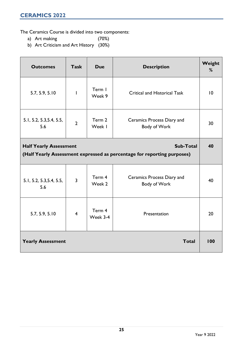<span id="page-25-0"></span>The Ceramics Course is divided into two components:

- a) Art making (70%)
- b) Art Criticism and Art History (30%)

| <b>Outcomes</b>                                                                                                              | <b>Task</b>    | <b>Due</b>         | <b>Description</b>                         | Weight<br>% |  |
|------------------------------------------------------------------------------------------------------------------------------|----------------|--------------------|--------------------------------------------|-------------|--|
| 5.7, 5.9, 5.10                                                                                                               | $\mathsf{l}$   | Term I<br>Week 9   | <b>Critical and Historical Task</b>        | 10          |  |
| 5.1, 5.2, 5.3, 5.4, 5.5,<br>5.6                                                                                              | $\overline{2}$ | Term 2<br>Week I   | Ceramics Process Diary and<br>Body of Work | 30          |  |
| <b>Sub-Total</b><br><b>Half Yearly Assessment</b><br>(Half Yearly Assessment expressed as percentage for reporting purposes) |                |                    |                                            |             |  |
| 5.1, 5.2, 5.3, 5.4, 5.5,<br>5.6                                                                                              | $\overline{3}$ | Term 4<br>Week 2   | Ceramics Process Diary and<br>Body of Work | 40          |  |
| 5.7, 5.9, 5.10                                                                                                               | $\overline{4}$ | Term 4<br>Week 3-4 | Presentation                               | 20          |  |
| <b>Yearly Assessment</b>                                                                                                     |                |                    | <b>Total</b>                               | 100         |  |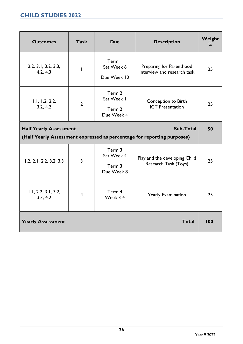<span id="page-26-0"></span>

| <b>Outcomes</b>                                                                                                              | <b>Task</b>             | <b>Due</b>                                   | <b>Description</b>                                      | Weight<br>% |  |
|------------------------------------------------------------------------------------------------------------------------------|-------------------------|----------------------------------------------|---------------------------------------------------------|-------------|--|
| 2.2, 3.1, 3.2, 3.3,<br>4.2, 4.3                                                                                              |                         | Term I<br>Set Week 6<br>Due Week 10          | Preparing for Parenthood<br>Interview and research task | 25          |  |
| 1.1, 1.2, 2.2,<br>3.2, 4.2                                                                                                   | $\overline{2}$          | Term 2<br>Set Week I<br>Term 2<br>Due Week 4 | Conception to Birth<br><b>ICT</b> Presentation          | 25          |  |
| <b>Sub-Total</b><br><b>Half Yearly Assessment</b><br>(Half Yearly Assessment expressed as percentage for reporting purposes) |                         |                                              |                                                         |             |  |
| 1.2, 2.1, 2.2, 3.2, 3.3                                                                                                      | 3                       | Term 3<br>Set Week 4<br>Term 3<br>Due Week 8 | Play and the developing Child<br>Research Task (Toys)   | 25          |  |
| 1.1, 2.2, 3.1, 3.2,<br>3.3, 4.2                                                                                              | $\overline{\mathbf{4}}$ | Term 4<br>Week 3-4                           | <b>Yearly Examination</b>                               | 25          |  |
| <b>Yearly Assessment</b>                                                                                                     |                         |                                              | <b>Total</b>                                            | 100         |  |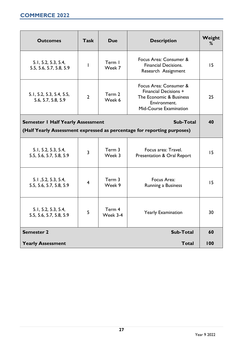<span id="page-27-0"></span>

| <b>Outcomes</b>                                                                                                                  | <b>Task</b>    | <b>Due</b>         | <b>Description</b>                                                                                                   | Weight<br>% |
|----------------------------------------------------------------------------------------------------------------------------------|----------------|--------------------|----------------------------------------------------------------------------------------------------------------------|-------------|
| 5.1, 5.2, 5.3, 5.4,<br>5.5, 5.6, 5.7, 5.8, 5.9                                                                                   |                | Term I<br>Week 7   | Focus Area: Consumer &<br><b>Financial Decisions.</b><br>Research Assignment                                         | 15          |
| 5.1, 5.2, 5.3, 5.4, 5.5,<br>5.6, 5.7, 5.8, 5.9                                                                                   | $\overline{2}$ | Term 2<br>Week 6   | Focus Area: Consumer &<br>Financial Decisions +<br>The Economic & Business<br>Environment.<br>Mid-Course Examination | 25          |
| Sub-Total<br><b>Semester I Half Yearly Assessment</b><br>(Half Yearly Assessment expressed as percentage for reporting purposes) |                |                    |                                                                                                                      |             |
| 5.1, 5.2, 5.3, 5.4,<br>5.5, 5.6, 5.7, 5.8, 5.9                                                                                   | 3              | Term 3<br>Week 3   | Focus area: Travel.<br>Presentation & Oral Report                                                                    | 15          |
| 5.1, 5.2, 5.3, 5.4,<br>5.5, 5.6, 5.7, 5.8, 5.9                                                                                   | $\overline{4}$ | Term 3<br>Week 9   | Focus Area:<br>Running a Business                                                                                    | 15          |
| 5.1, 5.2, 5.3, 5.4,<br>5.5, 5.6, 5.7, 5.8, 5.9                                                                                   | 5              | Term 4<br>Week 3-4 | <b>Yearly Examination</b>                                                                                            | 30          |
| <b>Semester 2</b>                                                                                                                |                |                    | Sub-Total                                                                                                            | 60          |
| <b>Yearly Assessment</b>                                                                                                         |                |                    | <b>Total</b>                                                                                                         | 100         |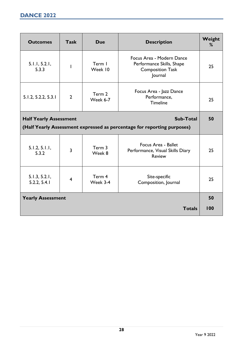<span id="page-28-0"></span>

| <b>Outcomes</b>               | <b>Task</b>    | <b>Due</b>         | <b>Description</b>                                                                           | Weight<br>% |
|-------------------------------|----------------|--------------------|----------------------------------------------------------------------------------------------|-------------|
| 5.1.1, 5.2.1,<br>5.3.3        | L              | Term I<br>Week 10  | Focus Area - Modern Dance<br>Performance Skills, Shape<br><b>Composition Task</b><br>Journal | 25          |
| 5.1.2, 5.2.2, 5.3.1           | $\overline{2}$ | Term 2<br>Week 6-7 | Focus Area - Jazz Dance<br>Performance,<br><b>Timeline</b>                                   | 25          |
| <b>Half Yearly Assessment</b> |                |                    | <b>Sub-Total</b>                                                                             | 50          |
|                               |                |                    | (Half Yearly Assessment expressed as percentage for reporting purposes)                      |             |
| 5.1.2, 5.1.1,<br>5.3.2        | $\overline{3}$ | Term 3<br>Week 8   | Focus Area - Ballet<br>Performance, Visual Skills Diary<br><b>Review</b>                     | 25          |
| 5.1.3, 5.2.1,<br>5.2.2, 5.4.1 | $\overline{4}$ | Term 4<br>Week 3-4 | Site-specific<br>Composition, Journal                                                        | 25          |
| <b>Yearly Assessment</b>      |                |                    |                                                                                              | 50          |
|                               |                |                    | <b>Totals</b>                                                                                | 100         |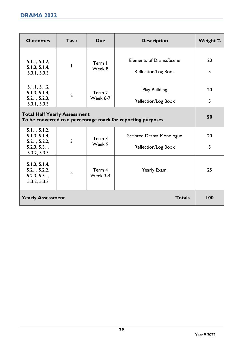<span id="page-29-0"></span>

| <b>Outcomes</b>                                                                                    | <b>Task</b>    | <b>Due</b>         | <b>Description</b>                                    | Weight % |  |
|----------------------------------------------------------------------------------------------------|----------------|--------------------|-------------------------------------------------------|----------|--|
| 5.1.1, 5.1.2,<br>5.1.3, 5.1.4,<br>5.3.1, 5.3.3                                                     |                | Term I<br>Week 8   | <b>Elements of Drama/Scene</b><br>Reflection/Log Book | 20<br>5  |  |
| 5.1.1, 5.1.2<br>5.1.3, 5.1.4,                                                                      | $\overline{2}$ | Term 2             | <b>Play Building</b>                                  | 20       |  |
| 5.2.1, 5.2.3,<br>5.3.1, 5.3.3                                                                      |                | <b>Week 6-7</b>    | Reflection/Log Book                                   | 5        |  |
| <b>Total Half Yearly Assessment</b><br>To be converted to a percentage mark for reporting purposes |                |                    |                                                       |          |  |
| 5.1.1, 5.1.2,<br>5.1.3, 5.1.4,                                                                     | 3              | Term 3             | <b>Scripted Drama Monologue</b>                       | 20       |  |
| 5.2.1, 5.2.2,<br>5.2.3, 5.3.1,<br>5.3.2, 5.3.3                                                     |                | Week 9             | Reflection/Log Book                                   | 5        |  |
| 5.1.3, 5.1.4,<br>5.2.1, 5.2.2,<br>5.2.3, 5.3.1,<br>5.3.2, 5.3.3                                    | $\overline{4}$ | Term 4<br>Week 3-4 | Yearly Exam.                                          | 25       |  |
| <b>Yearly Assessment</b>                                                                           |                |                    | <b>Totals</b>                                         | 100      |  |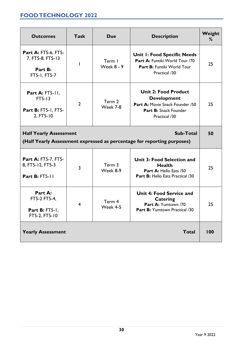# <span id="page-30-0"></span>**FOOD TECHNOLOGY 2022**

| <b>Outcomes</b>                                                                                                       | <b>Task</b>    | <b>Due</b>                  | <b>Description</b>                                                                                                             | Weight<br>% |
|-----------------------------------------------------------------------------------------------------------------------|----------------|-----------------------------|--------------------------------------------------------------------------------------------------------------------------------|-------------|
| Part A: FT5-6, FT5-<br>7, FT5-8, FT5-13<br>Part B:<br>FT5-1, FT5-7                                                    | L              | Term I<br><b>Week 8 - 9</b> | <b>Unit I: Food Specific Needs</b><br>Part A: Funtiki World Tour /70<br>Part B: Funtiki World Tour<br>Practical /30            | 25          |
| Part A: $FT5-11$ ,<br>$FT5-13$<br>Part B: FT5-1, FT5-<br>2, FT5-10                                                    | $\overline{2}$ | Term 2<br>Week 7-8          | <b>Unit 2: Food Product</b><br><b>Development</b><br>Part A: Movie Snack Founder /50<br>Part B: Snack Founder<br>Practical /30 | 25          |
| Sub-Total<br><b>Half Yearly Assessment</b><br>(Half Yearly Assessment expressed as percentage for reporting purposes) |                |                             |                                                                                                                                |             |
| Part A: FT5-7, FT5-<br>8, FT5-12, FT5-3<br><b>Part B: FT5-11</b>                                                      | 3              | Term 3<br>Week 8-9          | <b>Unit 3: Food Selection and</b><br><b>Health</b><br>Part A: Hello Eats /50<br>Part B: Hello Eats Practical /30               | 25          |
| Part A:<br>FT5-2 FT5-4,<br>Part B: FT5-1,<br>FT5-2, FT5-10                                                            | 4              | Term 4<br>Week 4-5          | Unit 4: Food Service and<br>Catering<br>Part A: Yumtown /70<br>Part B: Yumtown Practical /30                                   | 25          |
| <b>Yearly Assessment</b>                                                                                              |                |                             | <b>Total</b>                                                                                                                   | 100         |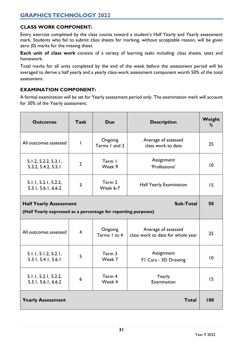## <span id="page-31-0"></span>**CLASS WORK COMPONENT:**

Every exercise completed by the class counts toward a student's Half Yearly and Yearly assessment mark. Students who fail to submit class sheets for marking, without acceptable reason, will be given zero (0) marks for the missing sheet.

**Each unit of class work** consists of a variety of learning tasks including: class sheets, tests and homework.

Total marks for all units completed by the end of the week before the assessment period will be averaged to derive a half yearly and a yearly class-work assessment component worth 50% of the total assessment.

## **EXAMINATION COMPONENT:**

A formal examination will be set for Yearly assessment period only. The examination mark will account for 30% of the Yearly assessment.

| <b>Outcomes</b>                                                | <b>Task</b>    | <b>Due</b>                                                            | <b>Description</b>                                       |     |  |
|----------------------------------------------------------------|----------------|-----------------------------------------------------------------------|----------------------------------------------------------|-----|--|
| All outcomes assessed                                          | I              | Ongoing<br>Average of assessed<br>Terms I and 2<br>class work to date |                                                          | 25  |  |
| 5.1.2, 5.2.2, 5.3.1,<br>5.3.2, 5.4.2, 5.5.1                    | $\overline{2}$ | Assignment<br>Term I<br>'Professions'<br>Week 9                       |                                                          | 10  |  |
| 5.1.1, 5.2.1, 5.2.2,<br>5.3.1, 5.6.1, 6.6.2                    | 3              | Term 2<br>Half Yearly Examination<br>Week 6-7                         |                                                          | 15  |  |
| Sub-Total<br><b>Half Yearly Assessment</b>                     |                |                                                                       |                                                          |     |  |
| (Half Yearly expressed as a percentage for reporting purposes) |                |                                                                       |                                                          |     |  |
| All outcomes assessed                                          | $\overline{4}$ | Ongoing<br>Terms I to 4                                               | Average of assessed<br>class work to date for whole year | 25  |  |
| 5.1.1, 5.1.2, 5.2.1,<br>5.3.1, 5.4.1, 5.6.1                    | 5              | Term 3<br>Week 7                                                      | Assignment<br>FI Cars - 3D Drawing                       | 10  |  |
| 5.1.1, 5.2.1, 5.2.2,<br>5.3.1, 5.6.1, 6.6.2                    | 6              | Term 4<br>Week 4                                                      | Yearly<br>Examination                                    | 15  |  |
| <b>Yearly Assessment</b>                                       |                |                                                                       | <b>Total</b>                                             | 100 |  |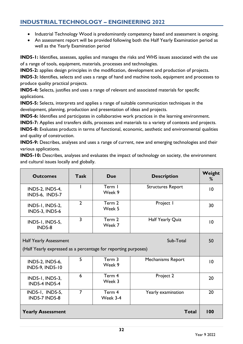## <span id="page-32-0"></span>**INDUSTRIAL TECHNOLOGY – ENGINEERING 2022**

- Industrial Technology Wood is predominantly competency based and assessment is ongoing.
- An assessment report will be provided following both the Half Yearly Examination period as well as the Yearly Examination period

**IND5-1:** Identifies, assesses, applies and manages the risks and WHS issues associated with the use of a range of tools, equipment, materials, processes and technologies.

**IND5-2:** applies design principles in the modification, development and production of projects.

**IND5-3:** Identifies, selects and uses a range of hand and machine tools, equipment and processes to produce quality practical projects.

**IND5-4:** Selects, justifies and uses a range of relevant and associated materials for specific applications.

**IND5-5:** Selects, interprets and applies a range of suitable communication techniques in the development, planning, production and presentation of ideas and projects.

**IND5-6:** Identifies and participates in collaborative work practices in the learning environment.

**IND5-7:** Applies and transfers skills, processes and materials to a variety of contexts and projects.

**IND5-8:** Evaluates products in terms of functional, economic, aesthetic and environmental qualities and quality of construction.

**IND5-9:** Describes, analyses and uses a range of current, new and emerging technologies and their various applications.

**IND5-10:** Describes, analyses and evaluates the impact of technology on society, the environment and cultural issues locally and globally.

| <b>Outcomes</b>                                                                                              | <b>Task</b>    | Due                | <b>Description</b>       | Weight<br>%     |
|--------------------------------------------------------------------------------------------------------------|----------------|--------------------|--------------------------|-----------------|
| IND5-2, IND5-4,<br><b>IND5-6, IND5-7</b>                                                                     |                | Term I<br>Week 9   | <b>Structures Report</b> | 10              |
| IND5-1, IND5-2,<br><b>IND5-3, IND5-6</b>                                                                     | $\overline{2}$ | Term 2<br>Week 5   | Project I                | 30              |
| IND5-1, IND5-5,<br><b>IND5-8</b>                                                                             | $\overline{3}$ | Term 2<br>Week 7   | Half Yearly Quiz         | $\overline{10}$ |
| Sub-Total<br><b>Half Yearly Assessment</b><br>(Half Yearly expressed as a percentage for reporting purposes) |                |                    |                          | 50              |
| IND5-2, IND5-6,<br><b>IND5-9, IND5-10</b>                                                                    | 5              | Term 3<br>Week 9   | Mechanisms Report        | 10              |
| IND5-1, IND5-3,<br><b>IND5-4 IND5-4</b>                                                                      | 6              | Term 4<br>Week 3   | Project 2                | 20              |
| IND5-1, IND5-5,<br><b>IND5-7 IND5-8</b>                                                                      | $\overline{7}$ | Term 4<br>Week 3-4 | Yearly examination       | 20              |
| <b>Yearly Assessment</b>                                                                                     |                |                    | <b>Total</b>             | 100             |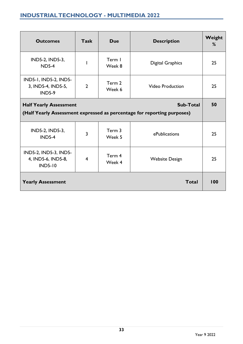<span id="page-33-0"></span>

| <b>Outcomes</b>                                               | <b>Task</b>    | <b>Due</b>       | <b>Description</b>                                                      | Weight<br>% |  |
|---------------------------------------------------------------|----------------|------------------|-------------------------------------------------------------------------|-------------|--|
| IND5-2, IND5-3,<br><b>ND5-4</b>                               |                | Term I<br>Week 8 | <b>Digital Graphics</b>                                                 | 25          |  |
| IND5-1, IND5-2, IND5-<br>3, IND5-4, IND5-5,<br><b>IND5-9</b>  | $\overline{2}$ | Term 2<br>Week 6 | <b>Video Production</b>                                                 |             |  |
| Sub-Total<br><b>Half Yearly Assessment</b>                    |                |                  |                                                                         |             |  |
|                                                               |                |                  | (Half Yearly Assessment expressed as percentage for reporting purposes) |             |  |
| IND5-2, IND5-3,<br>$IND5-4$                                   | 3              | Term 3<br>Week 5 | ePublications                                                           | 25          |  |
| IND5-2, IND5-3, IND5-<br>4, IND5-6, IND5-8,<br><b>IND5-10</b> | $\overline{4}$ | Term 4<br>Week 4 | <b>Website Design</b>                                                   | 25          |  |
| <b>Yearly Assessment</b>                                      |                |                  | Total                                                                   | 100         |  |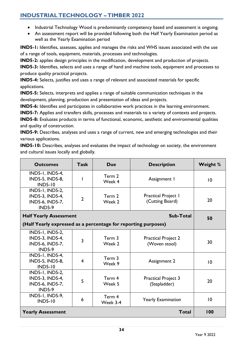## <span id="page-34-0"></span>**INDUSTRIAL TECHNOLOGY –TIMBER 2022**

- Industrial Technology Wood is predominantly competency based and assessment is ongoing.
- An assessment report will be provided following both the Half Yearly Examination period as well as the Yearly Examination period

**IND5-1:** Identifies, assesses, applies and manages the risks and WHS issues associated with the use of a range of tools, equipment, materials, processes and technologies.

**IND5-2:** applies design principles in the modification, development and production of projects.

**IND5-3:** Identifies, selects and uses a range of hand and machine tools, equipment and processes to produce quality practical projects.

**IND5-4:** Selects, justifies and uses a range of relevant and associated materials for specific applications.

**IND5-5:** Selects, interprets and applies a range of suitable communication techniques in the development, planning, production and presentation of ideas and projects.

**IND5-6:** Identifies and participates in collaborative work practices in the learning environment.

**IND5-7:** Applies and transfers skills, processes and materials to a variety of contexts and projects.

**IND5-8:** Evaluates products in terms of functional, economic, aesthetic and environmental qualities and quality of construction.

**IND5-9:** Describes, analyses and uses a range of current, new and emerging technologies and their various applications.

**IND5-10:** Describes, analyses and evaluates the impact of technology on society, the environment and cultural issues locally and globally.

| <b>Outcomes</b>                                                                             | <b>Task</b>                                                    | <b>Due</b>                                                        | <b>Description</b>                         | <b>Weight %</b> |  |
|---------------------------------------------------------------------------------------------|----------------------------------------------------------------|-------------------------------------------------------------------|--------------------------------------------|-----------------|--|
| <b>IND5-1, IND5-4,</b><br><b>IND5-5, IND5-8,</b><br><b>IND5-10</b>                          | I                                                              | Term 2<br>Week 4                                                  | Assignment I                               | 10              |  |
| <b>IND5-1, IND5-2,</b><br><b>IND5-3, IND5-4,</b><br>IND5-6, IND5-7,<br><b>IND5-9</b>        | $\overline{2}$                                                 | <b>Practical Project 1</b><br>Term 2<br>(Cutting Board)<br>Week 2 |                                            | 20              |  |
| <b>Sub-Total</b><br><b>Half Yearly Assessment</b>                                           |                                                                |                                                                   | 50                                         |                 |  |
|                                                                                             | (Half Yearly expressed as a percentage for reporting purposes) |                                                                   |                                            |                 |  |
| <b>IND5-1, IND5-2,</b><br><b>IND5-3, IND5-4,</b><br><b>IND5-6, IND5-7,</b><br><b>IND5-9</b> | $\overline{3}$                                                 | Term 3<br><b>Practical Project 2</b><br>Week 2<br>(Woven stool)   |                                            | 30              |  |
| <b>IND5-1, IND5-4,</b><br><b>IND5-5, IND5-8,</b><br><b>IND5-10</b>                          | $\overline{4}$                                                 | Term 3<br>Week 9                                                  | <b>Assignment 2</b>                        | 10              |  |
| IND5-1, IND5-2,<br><b>IND5-3, IND5-4,</b><br>IND5-6, IND5-7,<br><b>IND5-9</b>               | 5                                                              | Term 4<br>Week 5                                                  | <b>Practical Project 3</b><br>(Stepladder) |                 |  |
| <b>IND5-1, IND5-9,</b><br><b>IND5-10</b>                                                    | 6                                                              | Term 4<br>Week 3-4                                                | <b>Yearly Examination</b>                  |                 |  |
| <b>Yearly Assessment</b>                                                                    |                                                                |                                                                   | <b>Total</b>                               | 100             |  |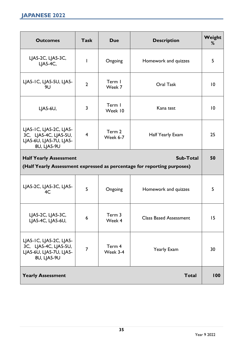<span id="page-35-0"></span>

| <b>Outcomes</b>                                                                                                       | <b>Task</b>    | <b>Due</b>         | <b>Description</b>            | Weight<br>% |  |
|-----------------------------------------------------------------------------------------------------------------------|----------------|--------------------|-------------------------------|-------------|--|
| LJA5-2C, LJA5-3C,<br>$L$ $A$ 5-4C,                                                                                    | I              | Ongoing            | Homework and quizzes          | 5           |  |
| LJA5-IC, LJA5-5U, LJA5-<br>9U                                                                                         | $\overline{2}$ | Term I<br>Week 7   | <b>Oral Task</b>              |             |  |
| LJA5-6U,                                                                                                              | 3              | Term I<br>Week 10  | Kana test                     | 10          |  |
| LJA5-IC, LJA5-2C, LJA5-<br>3C, LJA5-4C, LJA5-5U,<br>LJA5-6U, LJA5-7U, LJA5-<br>8U, LJA5-9U                            | $\overline{4}$ | Term 2<br>Week 6-7 | Half Yearly Exam              | 25          |  |
| <b>Half Yearly Assessment</b><br>Sub-Total<br>(Half Yearly Assessment expressed as percentage for reporting purposes) |                |                    |                               |             |  |
| LJA5-2C, LJA5-3C, LJA5-<br>4C                                                                                         | 5              | Ongoing            | Homework and quizzes          | 5           |  |
| LJA5-2C, LJA5-3C,<br>LJA5-4C, LJA5-6U,                                                                                | 6              | Term 3<br>Week 4   | <b>Class Based Assessment</b> | 15          |  |
| LJA5-IC, LJA5-2C, LJA5-<br>3C, LJA5-4C, LJA5-5U,<br>LJA5-6U, LJA5-7U, LJA5-<br>8U, LJA5-9U                            | $\overline{7}$ | Term 4<br>Week 3-4 | Yearly Exam                   |             |  |
| <b>Yearly Assessment</b>                                                                                              |                |                    | <b>Total</b>                  | 100         |  |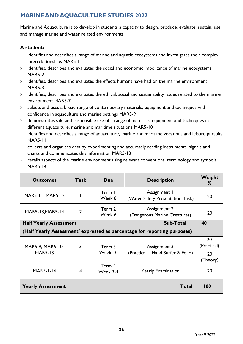# <span id="page-36-0"></span>**MARINE AND AQUACULTURE STUDIES 2022**

Marine and Aquaculture is to develop in students a capacity to design, produce, evaluate, sustain, use and manage marine and water related environments.

### **A student:**

- › identifies and describes a range of marine and aquatic ecosystems and investigates their complex interrelationships MAR5-1
- › identifies, describes and evaluates the social and economic importance of marine ecosystems MAR5-2
- › identifies, describes and evaluates the effects humans have had on the marine environment MAR5-3
- › identifies, describes and evaluates the ethical, social and sustainability issues related to the marine environment MAR5-7
- › selects and uses a broad range of contemporary materials, equipment and techniques with confidence in aquaculture and marine settings MAR5-9
- › demonstrates safe and responsible use of a range of materials, equipment and techniques in different aquaculture, marine and maritime situations MAR5-10
- › identifies and describes a range of aquaculture, marine and maritime vocations and leisure pursuits MAR5-11
- › collects and organises data by experimenting and accurately reading instruments, signals and charts and communicates this information MAR5-13
- › recalls aspects of the marine environment using relevant conventions, terminology and symbols MAR5-14

| <b>Outcomes</b>                            | <b>Task</b>    | Due                | <b>Description</b>                                                       | Weight<br>%                         |
|--------------------------------------------|----------------|--------------------|--------------------------------------------------------------------------|-------------------------------------|
| MAR5-11, MAR5-12                           |                | Term I<br>Week 8   | Assignment I<br>(Water Safety Presentation Task)                         | 20                                  |
| MAR5-13, MAR5-14                           | $\overline{2}$ | Term 2<br>Week 6   | <b>Assignment 2</b><br>(Dangerous Marine Creatures)                      | 20                                  |
| Sub-Total<br><b>Half Yearly Assessment</b> |                |                    |                                                                          |                                     |
|                                            |                |                    | (Half Yearly Assessment/ expressed as percentage for reporting purposes) |                                     |
| MAR5-9, MAR5-10,<br><b>MAR5-13</b>         | 3              | Term 3<br>Week 10  | Assignment 3<br>(Practical – Hand Surfer & Folio)                        | 20<br>(Practical)<br>20<br>(Theory) |
| <b>MAR5-1-14</b>                           | 4              | Term 4<br>Week 3-4 | <b>Yearly Examination</b>                                                | 20                                  |
| <b>Yearly Assessment</b>                   |                |                    | <b>Total</b>                                                             | 100                                 |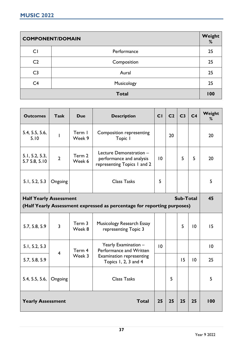<span id="page-37-0"></span>

| <b>COMPONENT/DOMAIN</b> |              | Weight<br>% |
|-------------------------|--------------|-------------|
| CI                      | Performance  | 25          |
| C <sub>2</sub>          | Composition  | 25          |
| C <sub>3</sub>          | Aural        | 25          |
| C4                      | Musicology   | 25          |
|                         | <b>Total</b> | 100         |

| <b>Outcomes</b>                                                                                          | <b>Task</b>             | <b>Due</b>       | <b>Description</b>                                                                 | CI | C <sub>2</sub> | C <sub>3</sub> | C <sub>4</sub> | Weight<br>% |
|----------------------------------------------------------------------------------------------------------|-------------------------|------------------|------------------------------------------------------------------------------------|----|----------------|----------------|----------------|-------------|
| 5.4, 5.5, 5.6,<br>5.10                                                                                   | $\overline{1}$          | Term I<br>Week 9 | Composition representing<br>Topic I                                                |    | 20             |                |                | 20          |
| 5.1, 5.2, 5.3,<br>5.7 5.8, 5.10                                                                          | $\overline{2}$          | Term 2<br>Week 6 | Lecture Demonstration -<br>performance and analysis<br>representing Topics I and 2 | 10 |                | 5              | 5              | 20          |
| 5.1, 5.2, 5.3                                                                                            | Ongoing                 |                  | <b>Class Tasks</b>                                                                 | 5  |                |                |                | 5           |
| <b>Half Yearly Assessment</b><br>(Half Yearly Assessment expressed as percentage for reporting purposes) |                         |                  |                                                                                    |    |                | Sub-Total      |                | 45          |
| 5.7, 5.8, 5.9                                                                                            | $\overline{3}$          | Term 3<br>Week 8 | Musicology Research Essay<br>representing Topic 3                                  |    |                | 5              | 10             | 15          |
| 5.1, 5.2, 5.3                                                                                            | $\overline{\mathbf{4}}$ | Term 4           | Yearly Examination -<br>Performance and Written                                    | 10 |                |                |                | 10          |
| 5.7, 5.8, 5.9                                                                                            |                         | Week 3           | <b>Examination representing</b><br>Topics 1, 2, 3 and 4                            |    |                | 15             | 10             | 25          |
| 5.4, 5.5, 5.6,                                                                                           | Ongoing                 |                  | <b>Class Tasks</b>                                                                 |    | 5              |                |                | 5           |
| <b>Yearly Assessment</b>                                                                                 |                         |                  | <b>Total</b>                                                                       | 25 | 25             | 25             | 25             | 100         |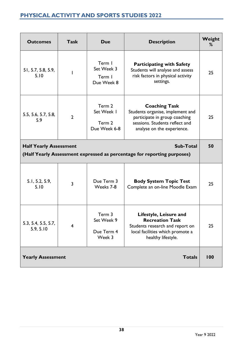# <span id="page-38-0"></span>**PHYSICAL ACTIVITY AND SPORTS STUDIES 2022**

| <b>Outcomes</b>                                                                                                              | <b>Task</b>             | <b>Due</b>                                                                                                                                                                                                  | <b>Description</b>                                                                                                     | Weight<br>% |  |
|------------------------------------------------------------------------------------------------------------------------------|-------------------------|-------------------------------------------------------------------------------------------------------------------------------------------------------------------------------------------------------------|------------------------------------------------------------------------------------------------------------------------|-------------|--|
| 51, 5.7, 5.8, 5.9,<br>5.10                                                                                                   |                         | Term I<br>Set Week 3<br>Term I<br>Due Week 8                                                                                                                                                                | <b>Participating with Safety</b><br>Students will analyse and assess<br>risk factors in physical activity<br>settings. |             |  |
| 5.5, 5.6, 5.7, 5.8,<br>5.9                                                                                                   | $\overline{2}$          | Term 2<br><b>Coaching Task</b><br>Set Week I<br>Students organise, implement and<br>participate in group coaching<br>sessions. Students reflect and<br>Term 2<br>Due Week 6-8<br>analyse on the experience. |                                                                                                                        | 25          |  |
| <b>Sub-Total</b><br><b>Half Yearly Assessment</b><br>(Half Yearly Assessment expressed as percentage for reporting purposes) |                         |                                                                                                                                                                                                             |                                                                                                                        |             |  |
| 5.1, 5.2, 5.9,<br>5.10                                                                                                       | $\overline{\mathbf{3}}$ | Due Term 3<br>Weeks 7-8                                                                                                                                                                                     | <b>Body System Topic Test</b><br>Complete an on-line Moodle Exam                                                       | 25          |  |
| 5.3, 5.4, 5.5, 5.7,<br>5.9, 5.10                                                                                             | $\overline{4}$          | Term 3<br>Lifestyle, Leisure and<br>Set Week 9<br><b>Recreation Task</b><br>Students research and report on<br>Due Term 4<br>local facilities which promote a<br>Week 3<br>healthy lifestyle.               |                                                                                                                        | 25          |  |
| <b>Yearly Assessment</b>                                                                                                     |                         |                                                                                                                                                                                                             | <b>Totals</b>                                                                                                          | 100         |  |